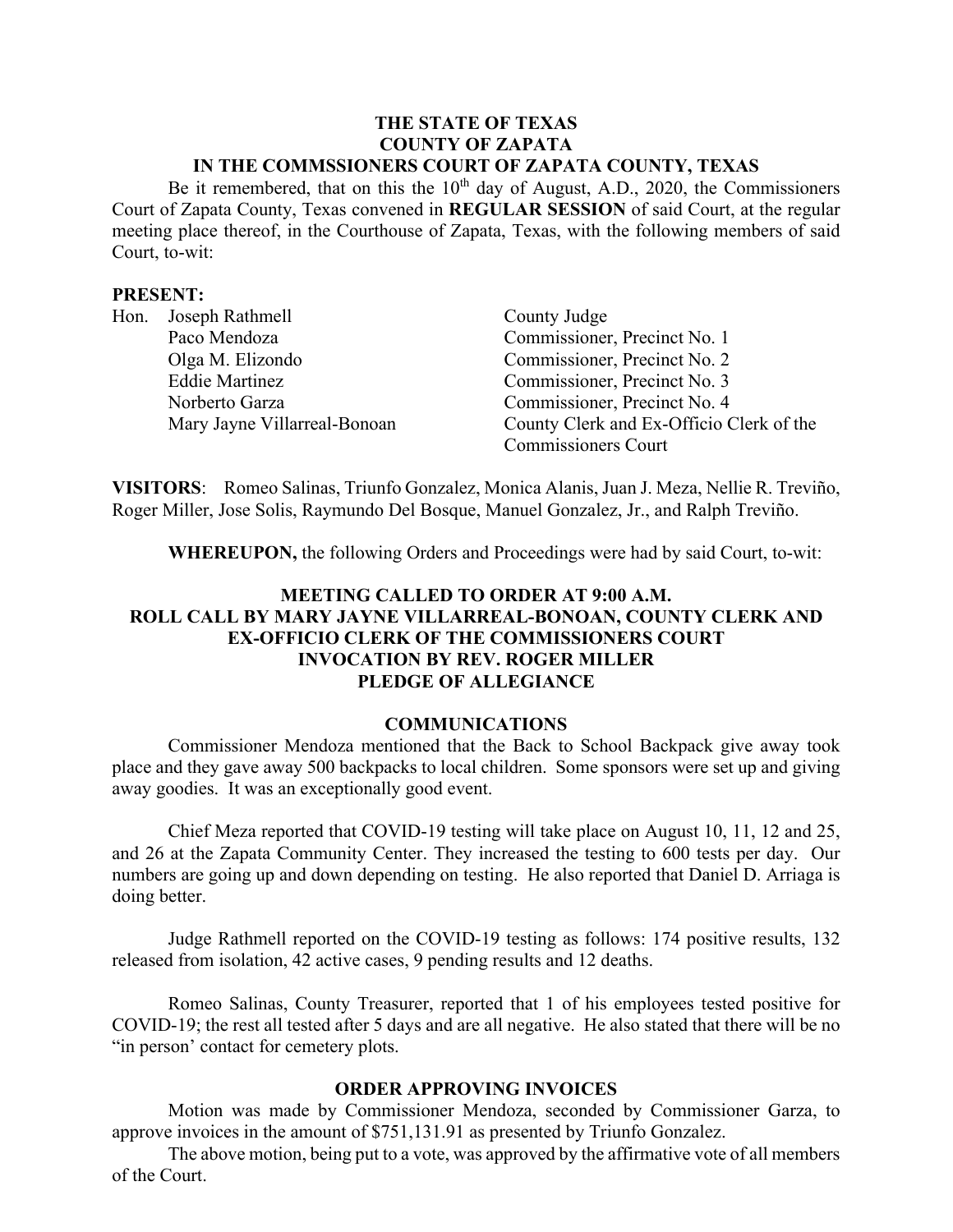#### **THE STATE OF TEXAS COUNTY OF ZAPATA IN THE COMMSSIONERS COURT OF ZAPATA COUNTY, TEXAS**

Be it remembered, that on this the  $10<sup>th</sup>$  day of August, A.D., 2020, the Commissioners Court of Zapata County, Texas convened in **REGULAR SESSION** of said Court, at the regular meeting place thereof, in the Courthouse of Zapata, Texas, with the following members of said Court, to-wit:

#### **PRESENT:**

| Hon. | Joseph Rathmell              | County Judge                             |
|------|------------------------------|------------------------------------------|
|      | Paco Mendoza                 | Commissioner, Precinct No. 1             |
|      | Olga M. Elizondo             | Commissioner, Precinct No. 2             |
|      | <b>Eddie Martinez</b>        | Commissioner, Precinct No. 3             |
|      | Norberto Garza               | Commissioner, Precinct No. 4             |
|      | Mary Jayne Villarreal-Bonoan | County Clerk and Ex-Officio Clerk of the |
|      |                              | <b>Commissioners Court</b>               |

**VISITORS**: Romeo Salinas, Triunfo Gonzalez, Monica Alanis, Juan J. Meza, Nellie R. Treviño, Roger Miller, Jose Solis, Raymundo Del Bosque, Manuel Gonzalez, Jr., and Ralph Treviño.

**WHEREUPON,** the following Orders and Proceedings were had by said Court, to-wit:

# **MEETING CALLED TO ORDER AT 9:00 A.M. ROLL CALL BY MARY JAYNE VILLARREAL-BONOAN, COUNTY CLERK AND EX-OFFICIO CLERK OF THE COMMISSIONERS COURT INVOCATION BY REV. ROGER MILLER PLEDGE OF ALLEGIANCE**

#### **COMMUNICATIONS**

Commissioner Mendoza mentioned that the Back to School Backpack give away took place and they gave away 500 backpacks to local children. Some sponsors were set up and giving away goodies. It was an exceptionally good event.

Chief Meza reported that COVID-19 testing will take place on August 10, 11, 12 and 25, and 26 at the Zapata Community Center. They increased the testing to 600 tests per day. Our numbers are going up and down depending on testing. He also reported that Daniel D. Arriaga is doing better.

Judge Rathmell reported on the COVID-19 testing as follows: 174 positive results, 132 released from isolation, 42 active cases, 9 pending results and 12 deaths.

Romeo Salinas, County Treasurer, reported that 1 of his employees tested positive for COVID-19; the rest all tested after 5 days and are all negative. He also stated that there will be no "in person' contact for cemetery plots.

#### **ORDER APPROVING INVOICES**

Motion was made by Commissioner Mendoza, seconded by Commissioner Garza, to approve invoices in the amount of \$751,131.91 as presented by Triunfo Gonzalez.

The above motion, being put to a vote, was approved by the affirmative vote of all members of the Court.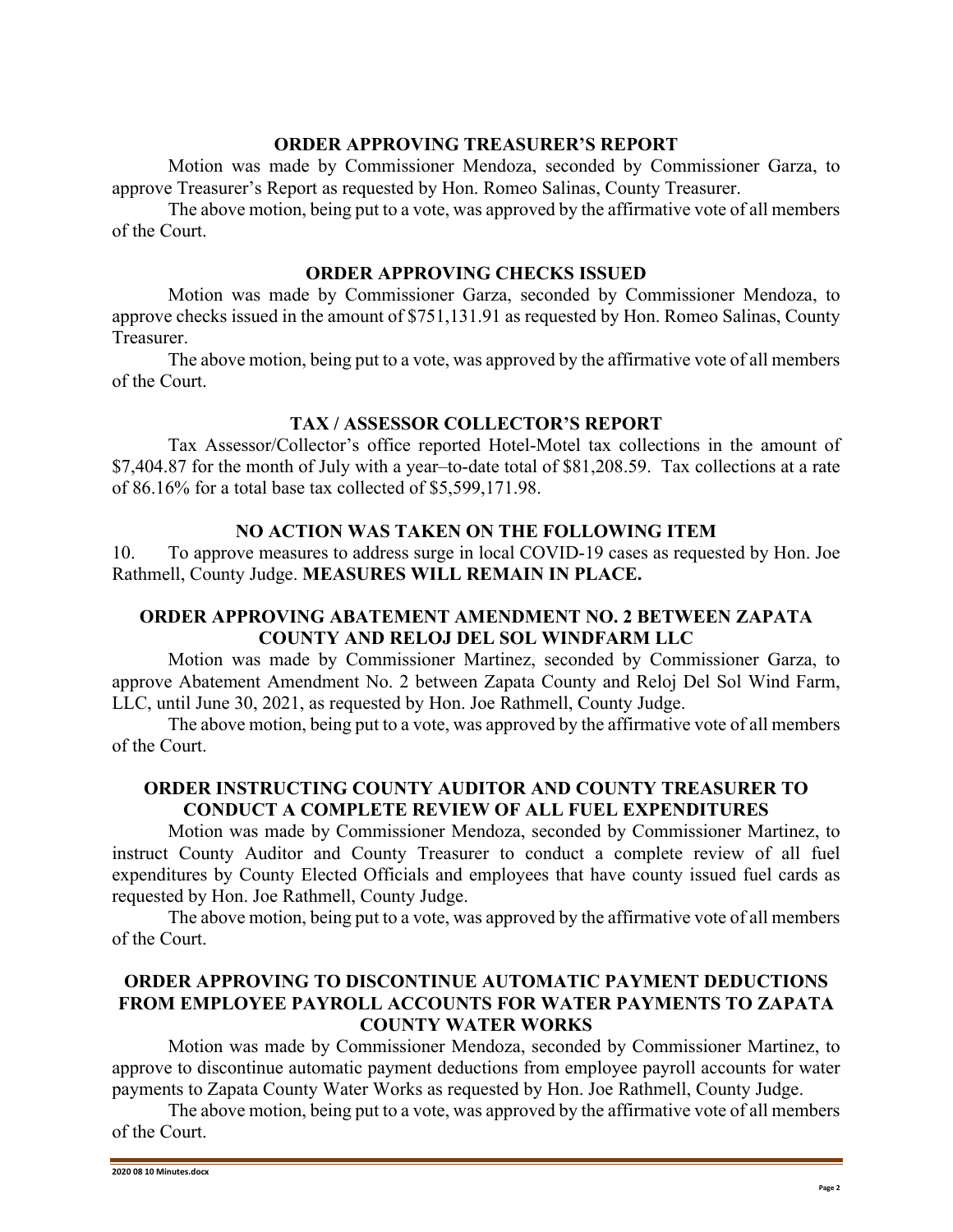#### **ORDER APPROVING TREASURER'S REPORT**

Motion was made by Commissioner Mendoza, seconded by Commissioner Garza, to approve Treasurer's Report as requested by Hon. Romeo Salinas, County Treasurer.

The above motion, being put to a vote, was approved by the affirmative vote of all members of the Court.

### **ORDER APPROVING CHECKS ISSUED**

Motion was made by Commissioner Garza, seconded by Commissioner Mendoza, to approve checks issued in the amount of \$751,131.91 as requested by Hon. Romeo Salinas, County Treasurer.

The above motion, being put to a vote, was approved by the affirmative vote of all members of the Court.

### **TAX / ASSESSOR COLLECTOR'S REPORT**

Tax Assessor/Collector's office reported Hotel-Motel tax collections in the amount of \$7,404.87 for the month of July with a year–to-date total of \$81,208.59. Tax collections at a rate of 86.16% for a total base tax collected of \$5,599,171.98.

## **NO ACTION WAS TAKEN ON THE FOLLOWING ITEM**

10. To approve measures to address surge in local COVID-19 cases as requested by Hon. Joe Rathmell, County Judge. **MEASURES WILL REMAIN IN PLACE.**

## **ORDER APPROVING ABATEMENT AMENDMENT NO. 2 BETWEEN ZAPATA COUNTY AND RELOJ DEL SOL WINDFARM LLC**

Motion was made by Commissioner Martinez, seconded by Commissioner Garza, to approve Abatement Amendment No. 2 between Zapata County and Reloj Del Sol Wind Farm, LLC, until June 30, 2021, as requested by Hon. Joe Rathmell, County Judge.

The above motion, being put to a vote, was approved by the affirmative vote of all members of the Court.

## **ORDER INSTRUCTING COUNTY AUDITOR AND COUNTY TREASURER TO CONDUCT A COMPLETE REVIEW OF ALL FUEL EXPENDITURES**

Motion was made by Commissioner Mendoza, seconded by Commissioner Martinez, to instruct County Auditor and County Treasurer to conduct a complete review of all fuel expenditures by County Elected Officials and employees that have county issued fuel cards as requested by Hon. Joe Rathmell, County Judge.

The above motion, being put to a vote, was approved by the affirmative vote of all members of the Court.

### **ORDER APPROVING TO DISCONTINUE AUTOMATIC PAYMENT DEDUCTIONS FROM EMPLOYEE PAYROLL ACCOUNTS FOR WATER PAYMENTS TO ZAPATA COUNTY WATER WORKS**

Motion was made by Commissioner Mendoza, seconded by Commissioner Martinez, to approve to discontinue automatic payment deductions from employee payroll accounts for water payments to Zapata County Water Works as requested by Hon. Joe Rathmell, County Judge.

The above motion, being put to a vote, was approved by the affirmative vote of all members of the Court.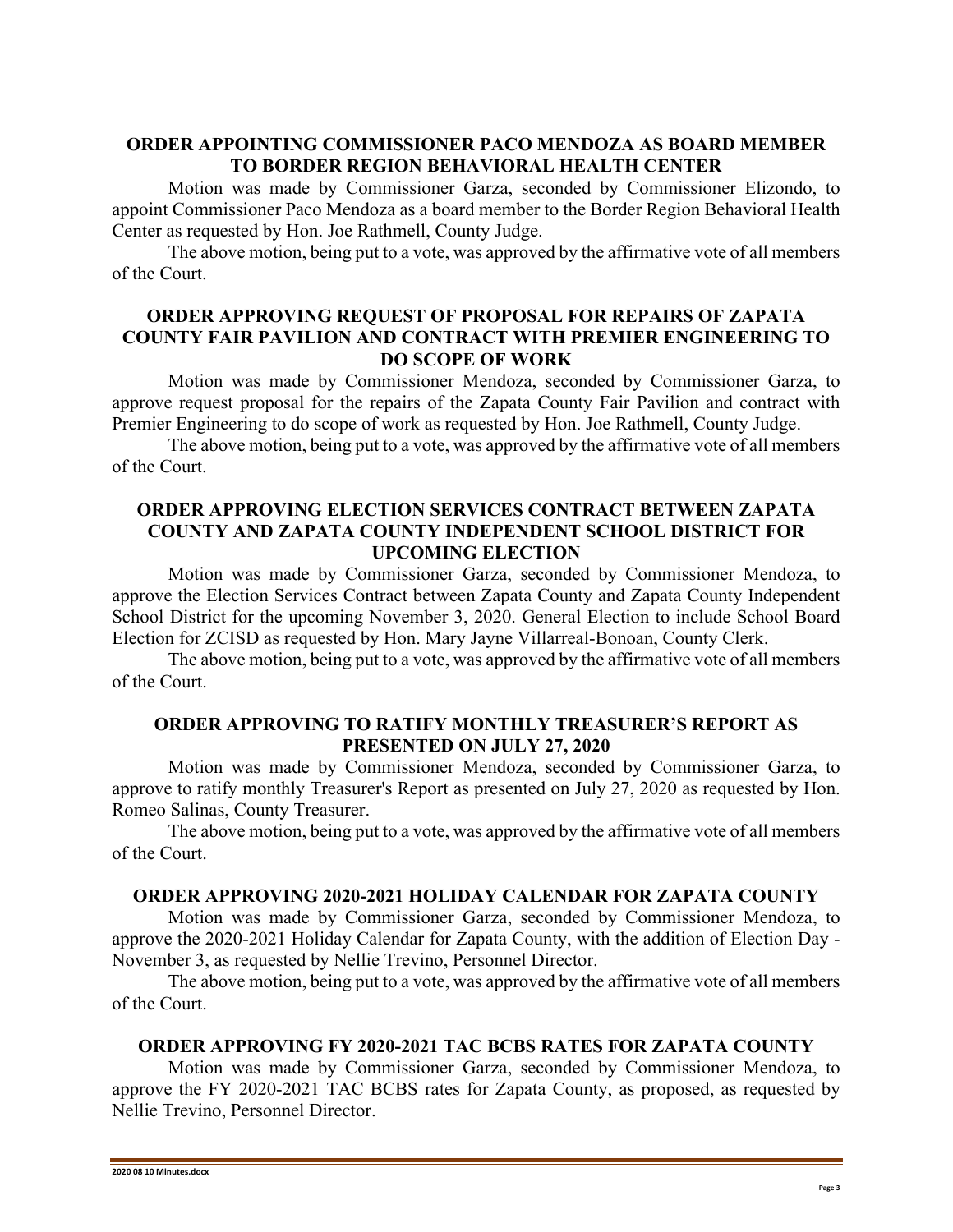# **ORDER APPOINTING COMMISSIONER PACO MENDOZA AS BOARD MEMBER TO BORDER REGION BEHAVIORAL HEALTH CENTER**

Motion was made by Commissioner Garza, seconded by Commissioner Elizondo, to appoint Commissioner Paco Mendoza as a board member to the Border Region Behavioral Health Center as requested by Hon. Joe Rathmell, County Judge.

The above motion, being put to a vote, was approved by the affirmative vote of all members of the Court.

### **ORDER APPROVING REQUEST OF PROPOSAL FOR REPAIRS OF ZAPATA COUNTY FAIR PAVILION AND CONTRACT WITH PREMIER ENGINEERING TO DO SCOPE OF WORK**

Motion was made by Commissioner Mendoza, seconded by Commissioner Garza, to approve request proposal for the repairs of the Zapata County Fair Pavilion and contract with Premier Engineering to do scope of work as requested by Hon. Joe Rathmell, County Judge.

The above motion, being put to a vote, was approved by the affirmative vote of all members of the Court.

## **ORDER APPROVING ELECTION SERVICES CONTRACT BETWEEN ZAPATA COUNTY AND ZAPATA COUNTY INDEPENDENT SCHOOL DISTRICT FOR UPCOMING ELECTION**

Motion was made by Commissioner Garza, seconded by Commissioner Mendoza, to approve the Election Services Contract between Zapata County and Zapata County Independent School District for the upcoming November 3, 2020. General Election to include School Board Election for ZCISD as requested by Hon. Mary Jayne Villarreal-Bonoan, County Clerk.

The above motion, being put to a vote, was approved by the affirmative vote of all members of the Court.

## **ORDER APPROVING TO RATIFY MONTHLY TREASURER'S REPORT AS PRESENTED ON JULY 27, 2020**

Motion was made by Commissioner Mendoza, seconded by Commissioner Garza, to approve to ratify monthly Treasurer's Report as presented on July 27, 2020 as requested by Hon. Romeo Salinas, County Treasurer.

The above motion, being put to a vote, was approved by the affirmative vote of all members of the Court.

### **ORDER APPROVING 2020-2021 HOLIDAY CALENDAR FOR ZAPATA COUNTY**

Motion was made by Commissioner Garza, seconded by Commissioner Mendoza, to approve the 2020-2021 Holiday Calendar for Zapata County, with the addition of Election Day - November 3, as requested by Nellie Trevino, Personnel Director.

The above motion, being put to a vote, was approved by the affirmative vote of all members of the Court.

### **ORDER APPROVING FY 2020-2021 TAC BCBS RATES FOR ZAPATA COUNTY**

Motion was made by Commissioner Garza, seconded by Commissioner Mendoza, to approve the FY 2020-2021 TAC BCBS rates for Zapata County, as proposed, as requested by Nellie Trevino, Personnel Director.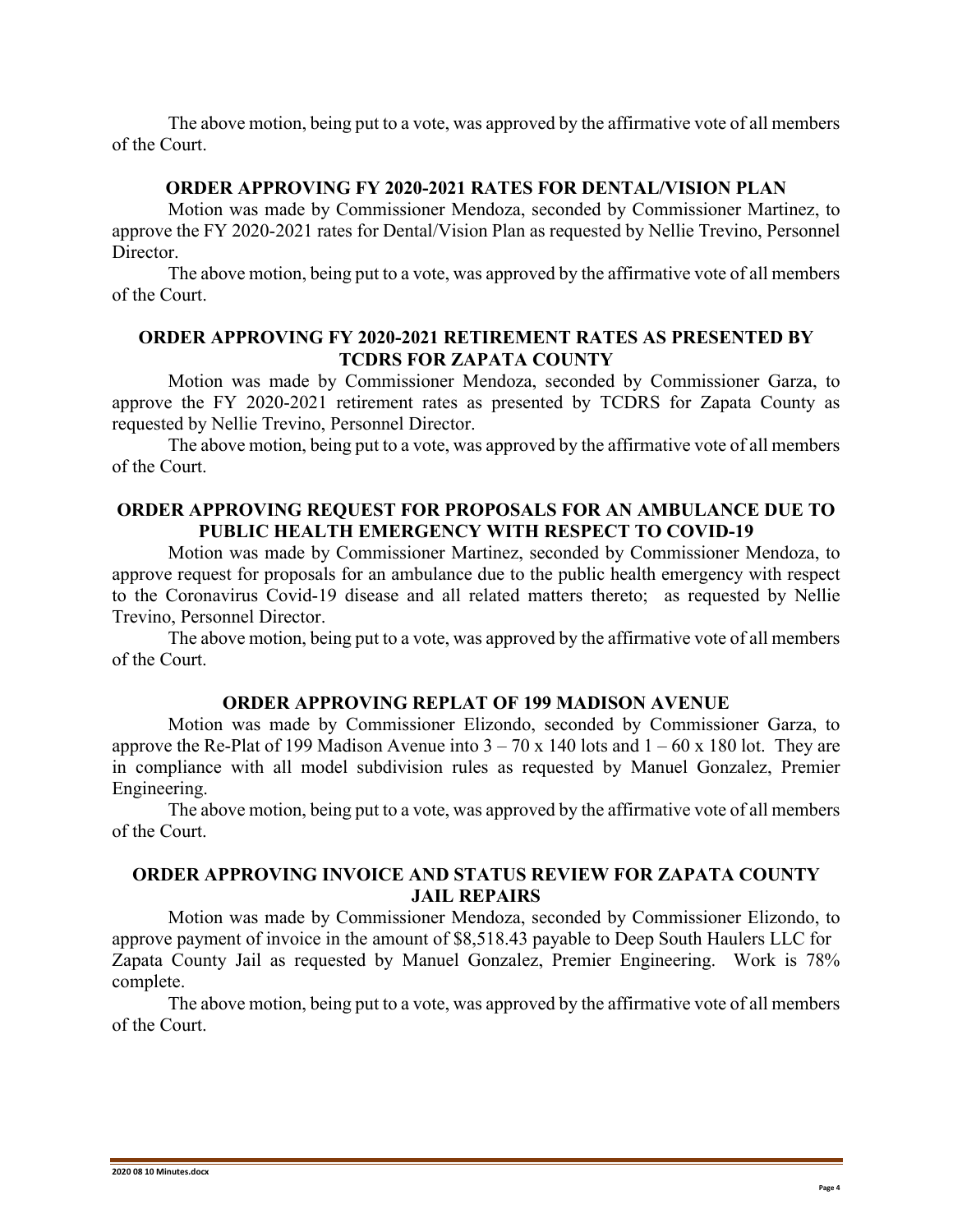The above motion, being put to a vote, was approved by the affirmative vote of all members of the Court.

### **ORDER APPROVING FY 2020-2021 RATES FOR DENTAL/VISION PLAN**

Motion was made by Commissioner Mendoza, seconded by Commissioner Martinez, to approve the FY 2020-2021 rates for Dental/Vision Plan as requested by Nellie Trevino, Personnel Director.

The above motion, being put to a vote, was approved by the affirmative vote of all members of the Court.

## **ORDER APPROVING FY 2020-2021 RETIREMENT RATES AS PRESENTED BY TCDRS FOR ZAPATA COUNTY**

Motion was made by Commissioner Mendoza, seconded by Commissioner Garza, to approve the FY 2020-2021 retirement rates as presented by TCDRS for Zapata County as requested by Nellie Trevino, Personnel Director.

The above motion, being put to a vote, was approved by the affirmative vote of all members of the Court.

## **ORDER APPROVING REQUEST FOR PROPOSALS FOR AN AMBULANCE DUE TO PUBLIC HEALTH EMERGENCY WITH RESPECT TO COVID-19**

Motion was made by Commissioner Martinez, seconded by Commissioner Mendoza, to approve request for proposals for an ambulance due to the public health emergency with respect to the Coronavirus Covid-19 disease and all related matters thereto; as requested by Nellie Trevino, Personnel Director.

The above motion, being put to a vote, was approved by the affirmative vote of all members of the Court.

#### **ORDER APPROVING REPLAT OF 199 MADISON AVENUE**

Motion was made by Commissioner Elizondo, seconded by Commissioner Garza, to approve the Re-Plat of 199 Madison Avenue into  $3 - 70 \times 140$  lots and  $1 - 60 \times 180$  lot. They are in compliance with all model subdivision rules as requested by Manuel Gonzalez, Premier Engineering.

The above motion, being put to a vote, was approved by the affirmative vote of all members of the Court.

#### **ORDER APPROVING INVOICE AND STATUS REVIEW FOR ZAPATA COUNTY JAIL REPAIRS**

Motion was made by Commissioner Mendoza, seconded by Commissioner Elizondo, to approve payment of invoice in the amount of \$8,518.43 payable to Deep South Haulers LLC for Zapata County Jail as requested by Manuel Gonzalez, Premier Engineering. Work is 78% complete.

The above motion, being put to a vote, was approved by the affirmative vote of all members of the Court.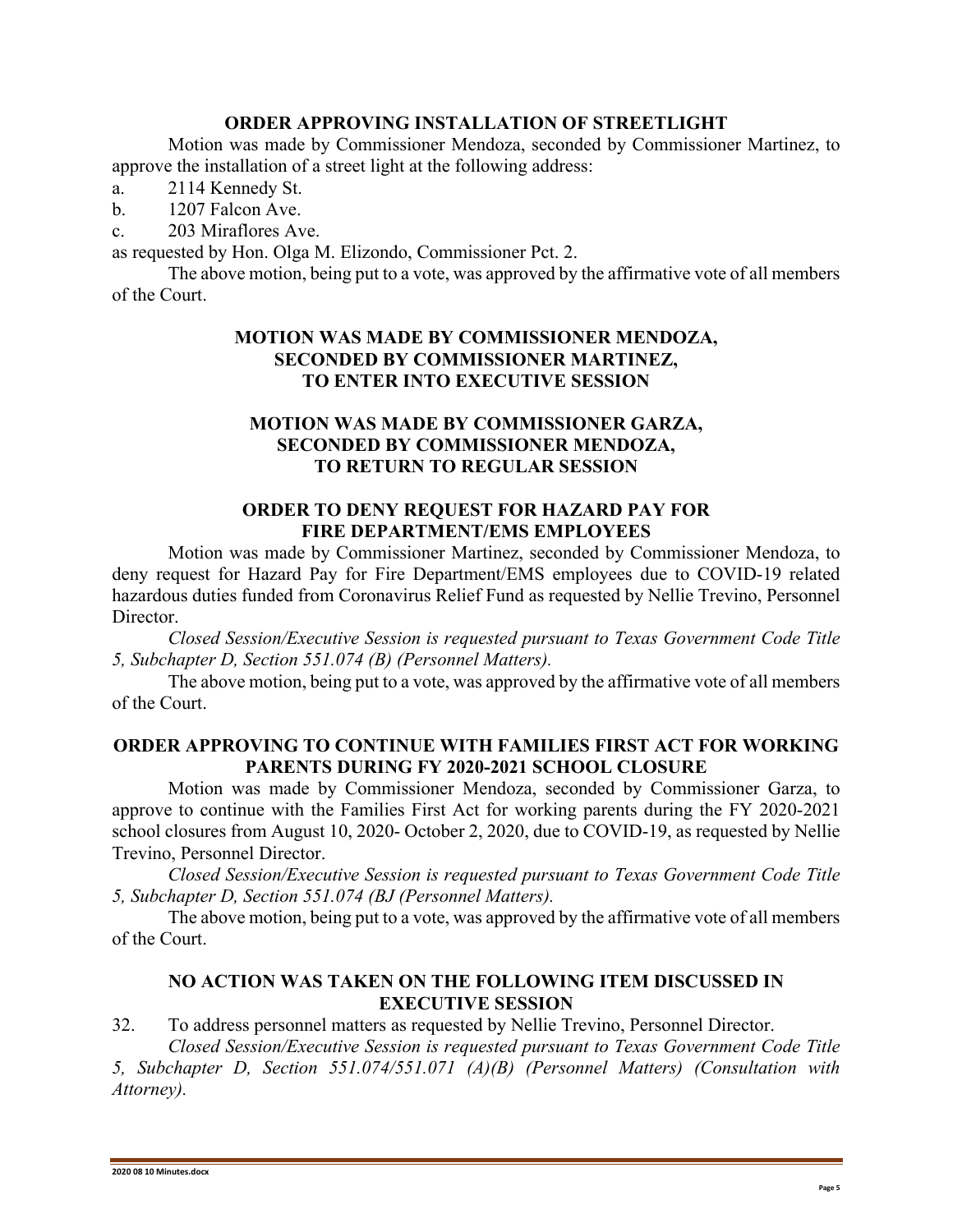# **ORDER APPROVING INSTALLATION OF STREETLIGHT**

Motion was made by Commissioner Mendoza, seconded by Commissioner Martinez, to approve the installation of a street light at the following address:

- a. 2114 Kennedy St.
- b. 1207 Falcon Ave.
- c. 203 Miraflores Ave.

as requested by Hon. Olga M. Elizondo, Commissioner Pct. 2.

The above motion, being put to a vote, was approved by the affirmative vote of all members of the Court.

# **MOTION WAS MADE BY COMMISSIONER MENDOZA, SECONDED BY COMMISSIONER MARTINEZ, TO ENTER INTO EXECUTIVE SESSION**

## **MOTION WAS MADE BY COMMISSIONER GARZA, SECONDED BY COMMISSIONER MENDOZA, TO RETURN TO REGULAR SESSION**

# **ORDER TO DENY REQUEST FOR HAZARD PAY FOR FIRE DEPARTMENT/EMS EMPLOYEES**

Motion was made by Commissioner Martinez, seconded by Commissioner Mendoza, to deny request for Hazard Pay for Fire Department/EMS employees due to COVID-19 related hazardous duties funded from Coronavirus Relief Fund as requested by Nellie Trevino, Personnel Director.

*Closed Session/Executive Session is requested pursuant to Texas Government Code Title 5, Subchapter D, Section 551.074 (B) (Personnel Matters).*

The above motion, being put to a vote, was approved by the affirmative vote of all members of the Court.

### **ORDER APPROVING TO CONTINUE WITH FAMILIES FIRST ACT FOR WORKING PARENTS DURING FY 2020-2021 SCHOOL CLOSURE**

Motion was made by Commissioner Mendoza, seconded by Commissioner Garza, to approve to continue with the Families First Act for working parents during the FY 2020-2021 school closures from August 10, 2020- October 2, 2020, due to COVID-19, as requested by Nellie Trevino, Personnel Director.

*Closed Session/Executive Session is requested pursuant to Texas Government Code Title 5, Subchapter D, Section 551.074 (BJ (Personnel Matters).*

The above motion, being put to a vote, was approved by the affirmative vote of all members of the Court.

### **NO ACTION WAS TAKEN ON THE FOLLOWING ITEM DISCUSSED IN EXECUTIVE SESSION**

### 32. To address personnel matters as requested by Nellie Trevino, Personnel Director.

*Closed Session/Executive Session is requested pursuant to Texas Government Code Title 5, Subchapter D, Section 551.074/551.071 (A)(B) (Personnel Matters) (Consultation with Attorney).*